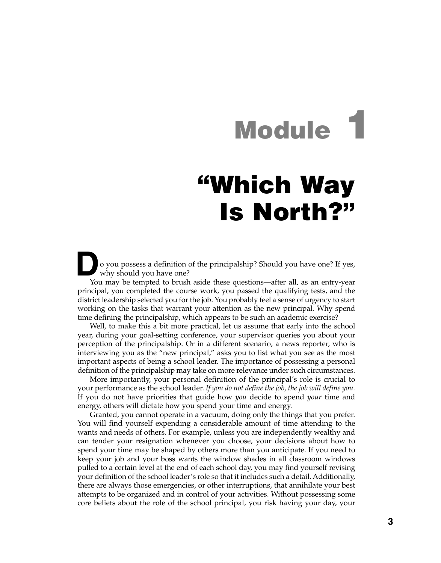## **Module 1**

## **"Which Way Is North?"**

**D**<sup>o</sup> you possess <sup>a</sup> definition of the principalship? Should you have one? If yes, why should you have one?

You may be tempted to brush aside these questions—after all, as an entry-year principal, you completed the course work, you passed the qualifying tests, and the district leadership selected you for the job. You probably feel a sense of urgency to start working on the tasks that warrant your attention as the new principal. Why spend time defining the principalship, which appears to be such an academic exercise?

Well, to make this a bit more practical, let us assume that early into the school year, during your goal-setting conference, your supervisor queries you about your perception of the principalship. Or in a different scenario, a news reporter, who is interviewing you as the "new principal," asks you to list what you see as the most important aspects of being a school leader. The importance of possessing a personal definition of the principalship may take on more relevance under such circumstances.

More importantly, your personal definition of the principal's role is crucial to your performance as the school leader. *If you do not define the job, the job will define you.* If you do not have priorities that guide how *you* decide to spend *your* time and energy, others will dictate how you spend your time and energy.

Granted, you cannot operate in a vacuum, doing only the things that you prefer. You will find yourself expending a considerable amount of time attending to the wants and needs of others. For example, unless you are independently wealthy and can tender your resignation whenever you choose, your decisions about how to spend your time may be shaped by others more than you anticipate. If you need to keep your job and your boss wants the window shades in all classroom windows pulled to a certain level at the end of each school day, you may find yourself revising your definition of the school leader's role so that it includes such a detail. Additionally, there are always those emergencies, or other interruptions, that annihilate your best attempts to be organized and in control of your activities. Without possessing some core beliefs about the role of the school principal, you risk having your day, your